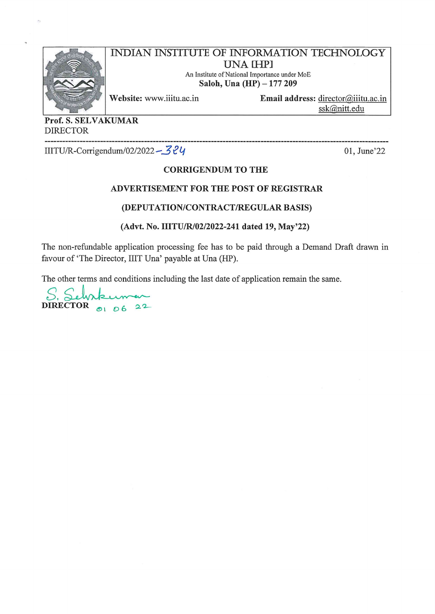

**INDIAN INSTITUTE OF INFORMATION TECHNOLOGY UNA IHPI** An Institute of National Importance under MoE

Saloh, Una (HP) - 177 209

Website: www.iiitu.ac.in

Email address: director@iiitu.ac.in ssk@nitt.edu

Prof. S. SELVAKUMAR **DIRECTOR** 

IIITU/R-Corrigendum/02/2022 - 324

01, June'22

#### **CORRIGENDUM TO THE**

#### ADVERTISEMENT FOR THE POST OF REGISTRAR

#### (DEPUTATION/CONTRACT/REGULAR BASIS)

#### (Advt. No. IIITU/R/02/2022-241 dated 19, May'22)

The non-refundable application processing fee has to be paid through a Demand Draft drawn in favour of 'The Director, IIIT Una' payable at Una (HP).

The other terms and conditions including the last date of application remain the same.

DIRECTOR  $\circ$ 1 06 22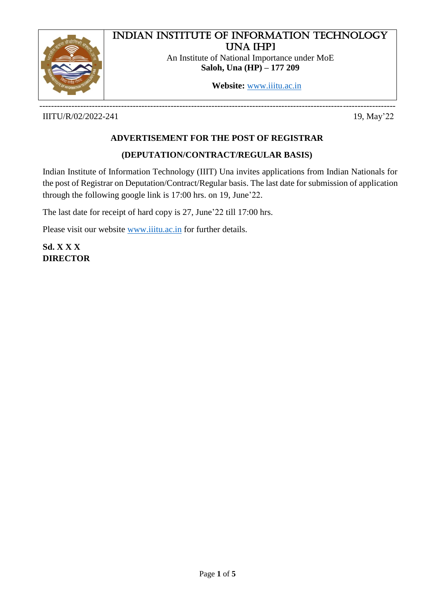

# Indian Institute of Information Technology Una [HP]

An Institute of National Importance under MoE **Saloh, Una (HP) – 177 209**

**Website:** [www.iiitu.ac.in](http://www.iiitu.ac.in/)

-------------------------------------------------------------------------------------------------------------------------- IIITU/R/02/2022-241 19, May'22

# **ADVERTISEMENT FOR THE POST OF REGISTRAR**

### **(DEPUTATION/CONTRACT/REGULAR BASIS)**

Indian Institute of Information Technology (IIIT) Una invites applications from Indian Nationals for the post of Registrar on Deputation/Contract/Regular basis. The last date for submission of application through the following google link is 17:00 hrs. on 19, June'22.

The last date for receipt of hard copy is 27, June'22 till 17:00 hrs.

Please visit our website [www.iiitu.ac.in](http://www.iiitu.ac.in/) for further details.

**Sd. X X X DIRECTOR**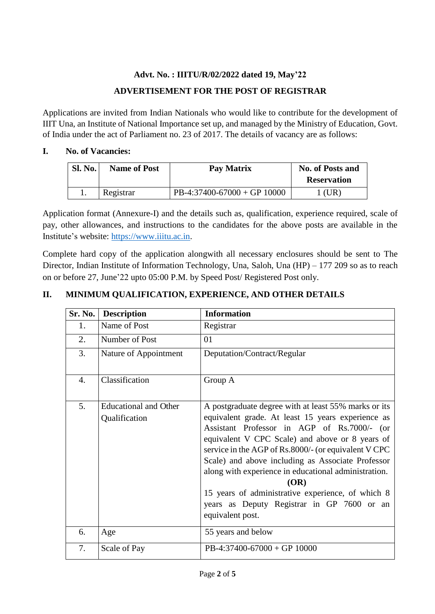# **Advt. No. : IIITU/R/02/2022 dated 19, May'22 ADVERTISEMENT FOR THE POST OF REGISTRAR**

Applications are invited from Indian Nationals who would like to contribute for the development of IIIT Una, an Institute of National Importance set up, and managed by the Ministry of Education, Govt. of India under the act of Parliament no. 23 of 2017. The details of vacancy are as follows:

### **I. No. of Vacancies:**

| <b>Sl. No.</b> | <b>Name of Post</b> | Pay Matrix                  | <b>No. of Posts and</b><br><b>Reservation</b> |
|----------------|---------------------|-----------------------------|-----------------------------------------------|
|                | Registrar           | PB-4:37400-67000 + GP 10000 | (UR)                                          |

Application format (Annexure-I) and the details such as, qualification, experience required, scale of pay, other allowances, and instructions to the candidates for the above posts are available in the Institute's website: [https://www.iiitu.ac.in.](https://www.iiitu.ac.in/)

Complete hard copy of the application alongwith all necessary enclosures should be sent to The Director, Indian Institute of Information Technology, Una, Saloh, Una (HP) – 177 209 so as to reach on or before 27, June'22 upto 05:00 P.M. by Speed Post/ Registered Post only.

# **Sr. No. Description Information** 1. Name of Post Registrar 2. Number of Post  $\vert$  01 3. Nature of Appointment Deputation/Contract/Regular 4. Classification Group A 5. Educational and Other Qualification A postgraduate degree with at least 55% marks or its equivalent grade. At least 15 years experience as Assistant Professor in AGP of Rs.7000/- (or equivalent V CPC Scale) and above or 8 years of service in the AGP of Rs.8000/- (or equivalent V CPC Scale) and above including as Associate Professor along with experience in educational administration. **(OR)** 15 years of administrative experience, of which 8 years as Deputy Registrar in GP 7600 or an equivalent post. 6. Age 55 years and below 7. Scale of Pay PB-4:37400-67000 + GP 10000

### **II. MINIMUM QUALIFICATION, EXPERIENCE, AND OTHER DETAILS**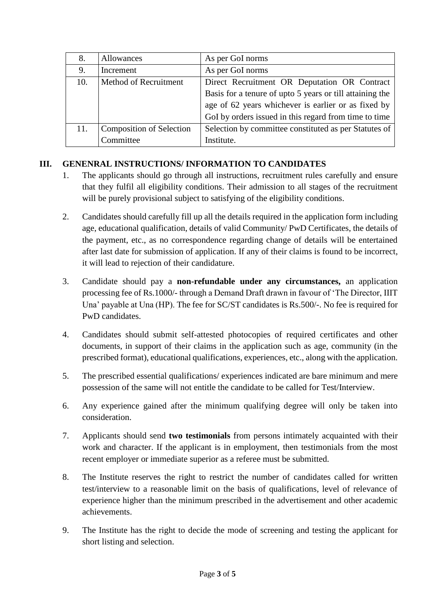| 8.  | Allowances                      | As per GoI norms                                         |
|-----|---------------------------------|----------------------------------------------------------|
| 9.  | Increment                       | As per GoI norms                                         |
| 10. | Method of Recruitment           | Direct Recruitment OR Deputation OR Contract             |
|     |                                 | Basis for a tenure of upto 5 years or till attaining the |
|     |                                 | age of 62 years whichever is earlier or as fixed by      |
|     |                                 | GoI by orders issued in this regard from time to time    |
| 11. | <b>Composition of Selection</b> | Selection by committee constituted as per Statutes of    |
|     | Committee                       | Institute.                                               |

### **III. GENENRAL INSTRUCTIONS/ INFORMATION TO CANDIDATES**

- 1. The applicants should go through all instructions, recruitment rules carefully and ensure that they fulfil all eligibility conditions. Their admission to all stages of the recruitment will be purely provisional subject to satisfying of the eligibility conditions.
- 2. Candidates should carefully fill up all the details required in the application form including age, educational qualification, details of valid Community/ PwD Certificates, the details of the payment, etc., as no correspondence regarding change of details will be entertained after last date for submission of application. If any of their claims is found to be incorrect, it will lead to rejection of their candidature.
- 3. Candidate should pay a **non-refundable under any circumstances,** an application processing fee of Rs.1000/- through a Demand Draft drawn in favour of 'The Director, IIIT Una' payable at Una (HP). The fee for SC/ST candidates is Rs.500/-. No fee is required for PwD candidates.
- 4. Candidates should submit self-attested photocopies of required certificates and other documents, in support of their claims in the application such as age, community (in the prescribed format), educational qualifications, experiences, etc., along with the application.
- 5. The prescribed essential qualifications/ experiences indicated are bare minimum and mere possession of the same will not entitle the candidate to be called for Test/Interview.
- 6. Any experience gained after the minimum qualifying degree will only be taken into consideration.
- 7. Applicants should send **two testimonials** from persons intimately acquainted with their work and character. If the applicant is in employment, then testimonials from the most recent employer or immediate superior as a referee must be submitted.
- 8. The Institute reserves the right to restrict the number of candidates called for written test/interview to a reasonable limit on the basis of qualifications, level of relevance of experience higher than the minimum prescribed in the advertisement and other academic achievements.
- 9. The Institute has the right to decide the mode of screening and testing the applicant for short listing and selection.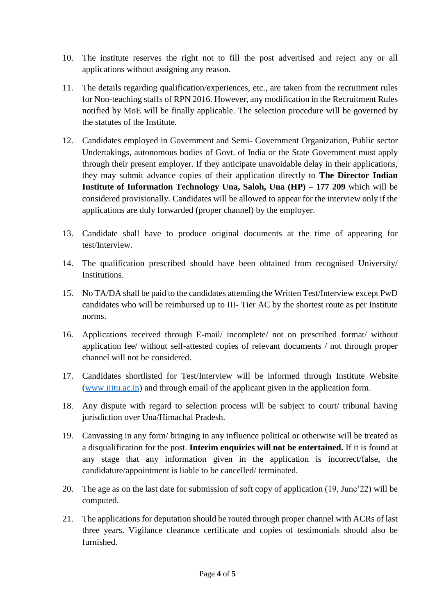- 10. The institute reserves the right not to fill the post advertised and reject any or all applications without assigning any reason.
- 11. The details regarding qualification/experiences, etc., are taken from the recruitment rules for Non-teaching staffs of RPN 2016. However, any modification in the Recruitment Rules notified by MoE will be finally applicable. The selection procedure will be governed by the statutes of the Institute.
- 12. Candidates employed in Government and Semi- Government Organization, Public sector Undertakings, autonomous bodies of Govt. of India or the State Government must apply through their present employer. If they anticipate unavoidable delay in their applications, they may submit advance copies of their application directly to **The Director Indian Institute of Information Technology Una, Saloh, Una (HP) – 177 209** which will be considered provisionally. Candidates will be allowed to appear for the interview only if the applications are duly forwarded (proper channel) by the employer.
- 13. Candidate shall have to produce original documents at the time of appearing for test/Interview.
- 14. The qualification prescribed should have been obtained from recognised University/ Institutions.
- 15. No TA/DA shall be paid to the candidates attending the Written Test/Interview except PwD candidates who will be reimbursed up to III- Tier AC by the shortest route as per Institute norms.
- 16. Applications received through E-mail/ incomplete/ not on prescribed format/ without application fee/ without self-attested copies of relevant documents / not through proper channel will not be considered.
- 17. Candidates shortlisted for Test/Interview will be informed through Institute Website [\(www.iiitu.ac.in\)](http://www.iiitu.ac.in/) and through email of the applicant given in the application form.
- 18. Any dispute with regard to selection process will be subject to court/ tribunal having jurisdiction over Una/Himachal Pradesh.
- 19. Canvassing in any form/ bringing in any influence political or otherwise will be treated as a disqualification for the post. **Interim enquiries will not be entertained.** If it is found at any stage that any information given in the application is incorrect/false, the candidature/appointment is liable to be cancelled/ terminated.
- 20. The age as on the last date for submission of soft copy of application (19, June'22) will be computed.
- 21. The applications for deputation should be routed through proper channel with ACRs of last three years. Vigilance clearance certificate and copies of testimonials should also be furnished.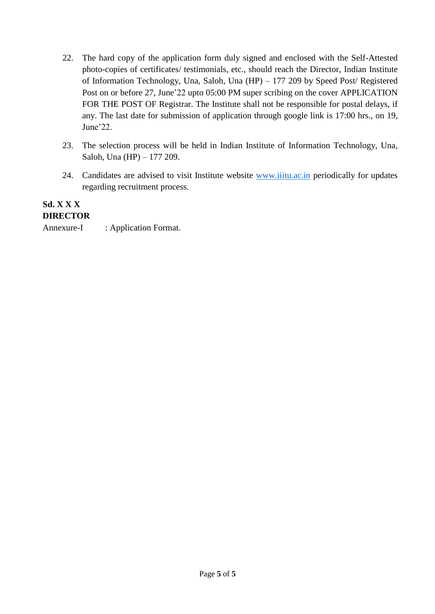- 22. The hard copy of the application form duly signed and enclosed with the Self-Attested photo-copies of certificates/ testimonials, etc., should reach the Director, Indian Institute of Information Technology, Una, Saloh, Una (HP) – 177 209 by Speed Post/ Registered Post on or before 27, June'22 upto 05:00 PM super scribing on the cover APPLICATION FOR THE POST OF Registrar. The Institute shall not be responsible for postal delays, if any. The last date for submission of application through google link is 17:00 hrs., on 19, June'22.
- 23. The selection process will be held in Indian Institute of Information Technology, Una, Saloh, Una (HP) – 177 209.
- 24. Candidates are advised to visit Institute website [www.iiitu.ac.in](http://www.iiitu.ac.in/) periodically for updates regarding recruitment process.

#### **Sd. X X X DIRECTOR**

Annexure-I : Application Format.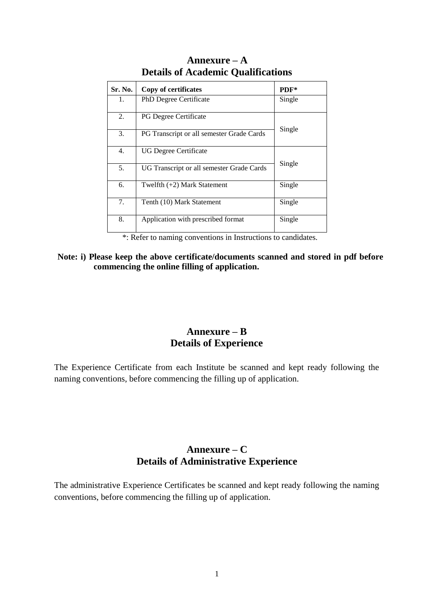| Sr. No. | Copy of certificates                      | $PDF*$ |
|---------|-------------------------------------------|--------|
| 1.      | <b>PhD Degree Certificate</b>             | Single |
| 2.      | <b>PG Degree Certificate</b>              | Single |
| 3.      | PG Transcript or all semester Grade Cards |        |
| 4.      | UG Degree Certificate                     | Single |
| 5.      | UG Transcript or all semester Grade Cards |        |
| 6.      | Twelfth (+2) Mark Statement               | Single |
| 7.      | Tenth (10) Mark Statement                 | Single |
| 8.      | Application with prescribed format        | Single |

### **Annexure – A Details of Academic Qualifications**

\*: Refer to naming conventions in Instructions to candidates.

**Note: i) Please keep the above certificate/documents scanned and stored in pdf before commencing the online filling of application.** 

### **Annexure – B Details of Experience**

The Experience Certificate from each Institute be scanned and kept ready following the naming conventions, before commencing the filling up of application.

# **Annexure – C Details of Administrative Experience**

The administrative Experience Certificates be scanned and kept ready following the naming conventions, before commencing the filling up of application.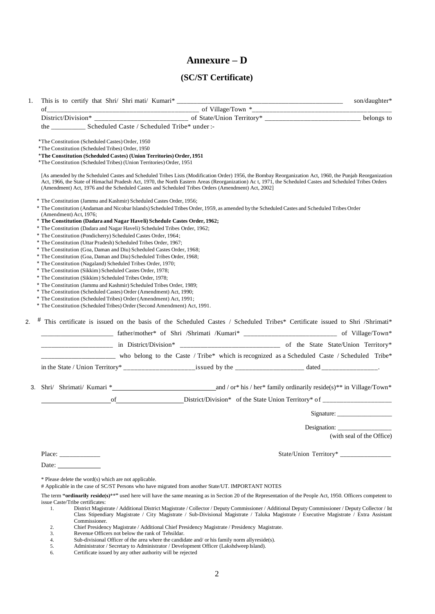# **Annexure – D**

### **(SC/ST Certificate)**

| of                     | This is to certify that Shri/ Shri mati/ Kumari*_________                                                                                       |                                                                                                                                                                                                                                                                                                                                                                                                                                                             | son/daughter*             |
|------------------------|-------------------------------------------------------------------------------------------------------------------------------------------------|-------------------------------------------------------------------------------------------------------------------------------------------------------------------------------------------------------------------------------------------------------------------------------------------------------------------------------------------------------------------------------------------------------------------------------------------------------------|---------------------------|
|                        |                                                                                                                                                 |                                                                                                                                                                                                                                                                                                                                                                                                                                                             | belongs to                |
|                        |                                                                                                                                                 |                                                                                                                                                                                                                                                                                                                                                                                                                                                             |                           |
|                        |                                                                                                                                                 |                                                                                                                                                                                                                                                                                                                                                                                                                                                             |                           |
|                        | *The Constitution (Scheduled Castes) Order, 1950<br>*The Constitution (Scheduled Tribes) Order, 1950                                            |                                                                                                                                                                                                                                                                                                                                                                                                                                                             |                           |
|                        | *The Constitution (Scheduled Castes) (Union Territories) Order, 1951                                                                            |                                                                                                                                                                                                                                                                                                                                                                                                                                                             |                           |
|                        | *The Constitution (Scheduled Tribes) (Union Territories) Order, 1951                                                                            |                                                                                                                                                                                                                                                                                                                                                                                                                                                             |                           |
|                        |                                                                                                                                                 | [As amended by the Scheduled Castes and Scheduled Tribes Lists (Modification Order) 1956, the Bombay Reorganization Act, 1960, the Punjab Reorganization<br>Act, 1966, the State of Himachal Pradesh Act, 1970, the North Eastern Areas (Reorganization) Ac t, 1971, the Scheduled Castes and Scheduled Tribes Orders<br>(Amendment) Act, 1976 and the Scheduled Castes and Scheduled Tribes Orders (Amendment) Act, 2002]                                  |                           |
|                        | * The Constitution (Jammu and Kashmir) Scheduled Castes Order, 1956;                                                                            | * The Constitution (Andaman and Nicobar Islands) Scheduled Tribes Order, 1959, as amended by the Scheduled Castes and Scheduled Tribes Order                                                                                                                                                                                                                                                                                                                |                           |
| (Amendment) Act, 1976; | * The Constitution (Dadara and Nagar Haveli) Schedule Castes Order, 1962;                                                                       |                                                                                                                                                                                                                                                                                                                                                                                                                                                             |                           |
|                        | * The Constitution (Dadara and Nagar Haveli) Scheduled Tribes Order, 1962;                                                                      |                                                                                                                                                                                                                                                                                                                                                                                                                                                             |                           |
|                        | * The Constitution (Pondicherry) Scheduled Castes Order, 1964;                                                                                  |                                                                                                                                                                                                                                                                                                                                                                                                                                                             |                           |
|                        | * The Constitution (Uttar Pradesh) Scheduled Tribes Order, 1967;                                                                                |                                                                                                                                                                                                                                                                                                                                                                                                                                                             |                           |
|                        | * The Constitution (Goa, Daman and Diu) Scheduled Castes Order, 1968;                                                                           |                                                                                                                                                                                                                                                                                                                                                                                                                                                             |                           |
|                        | * The Constitution (Goa, Daman and Diu) Scheduled Tribes Order, 1968;<br>* The Constitution (Nagaland) Scheduled Tribes Order, 1970;            |                                                                                                                                                                                                                                                                                                                                                                                                                                                             |                           |
|                        | * The Constitution (Sikkim) Scheduled Castes Order, 1978;                                                                                       |                                                                                                                                                                                                                                                                                                                                                                                                                                                             |                           |
|                        | * The Constitution (Sikkim) Scheduled Tribes Order, 1978;                                                                                       |                                                                                                                                                                                                                                                                                                                                                                                                                                                             |                           |
|                        | * The Constitution (Jammu and Kashmir) Scheduled Tribes Order, 1989;                                                                            |                                                                                                                                                                                                                                                                                                                                                                                                                                                             |                           |
|                        | * The Constitution (Scheduled Castes) Order (Amendment) Act, 1990;                                                                              |                                                                                                                                                                                                                                                                                                                                                                                                                                                             |                           |
|                        | * The Constitution (Scheduled Tribes) Order (Amendment) Act, 1991;<br>* The Constitution (Scheduled Tribes) Order (Second Amendment) Act. 1991. |                                                                                                                                                                                                                                                                                                                                                                                                                                                             |                           |
|                        |                                                                                                                                                 | <u>______________</u> in District/Division* ___________________________ of the State/Union Territory*                                                                                                                                                                                                                                                                                                                                                       |                           |
|                        |                                                                                                                                                 | who belong to the Caste / Tribe* which is recognized as a Scheduled Caste / Scheduled Tribe*                                                                                                                                                                                                                                                                                                                                                                |                           |
|                        |                                                                                                                                                 |                                                                                                                                                                                                                                                                                                                                                                                                                                                             |                           |
|                        |                                                                                                                                                 |                                                                                                                                                                                                                                                                                                                                                                                                                                                             |                           |
|                        |                                                                                                                                                 |                                                                                                                                                                                                                                                                                                                                                                                                                                                             |                           |
|                        |                                                                                                                                                 |                                                                                                                                                                                                                                                                                                                                                                                                                                                             |                           |
|                        |                                                                                                                                                 |                                                                                                                                                                                                                                                                                                                                                                                                                                                             |                           |
|                        |                                                                                                                                                 | of District/Division* of the State Union Territory* of _________________________                                                                                                                                                                                                                                                                                                                                                                            |                           |
|                        |                                                                                                                                                 |                                                                                                                                                                                                                                                                                                                                                                                                                                                             | Signature:                |
|                        |                                                                                                                                                 |                                                                                                                                                                                                                                                                                                                                                                                                                                                             |                           |
|                        |                                                                                                                                                 |                                                                                                                                                                                                                                                                                                                                                                                                                                                             | (with seal of the Office) |
|                        |                                                                                                                                                 |                                                                                                                                                                                                                                                                                                                                                                                                                                                             |                           |
| Date:                  |                                                                                                                                                 |                                                                                                                                                                                                                                                                                                                                                                                                                                                             |                           |
|                        |                                                                                                                                                 |                                                                                                                                                                                                                                                                                                                                                                                                                                                             |                           |
|                        | * Please delete the word(s) which are not applicable.                                                                                           | # Applicable in the case of SC/ST Persons who have migrated from another State/UT. IMPORTANT NOTES                                                                                                                                                                                                                                                                                                                                                          |                           |
|                        |                                                                                                                                                 |                                                                                                                                                                                                                                                                                                                                                                                                                                                             |                           |
| 1.                     | issue Caste/Tribe certificates:<br>Commissioner.                                                                                                | The term "ordinarily reside(s)**" used here will have the same meaning as in Section 20 of the Representation of the People Act, 1950. Officers competent to<br>District Magistrate / Additional District Magistrate / Collector / Deputy Commissioner / Additional Deputy Commissioner / Deputy Collector / Ist<br>Class Stipendiary Magistrate / City Magistrate / Sub-Divisional Magistrate / Taluka Magistrate / Executive Magistrate / Extra Assistant |                           |

- 3. Revenue Officers not below the rank of Tehsild<br>4. Sub-divisional Officer of the area where the can<br>5. Administrator / Secretary to Administrator / De<br>6. Certificate issued by any other authority will be 4. Sub-divisional Officer of the area where the candidate and/ or his family norm allyreside(s).
- 5. Administrator / Secretary to Administrator / Development Officer (Lakshdweep Island).
- 6. Certificate issued by any other authority will be rejected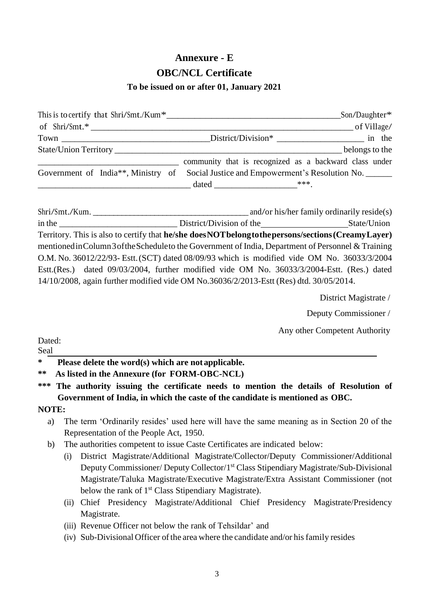# **Annexure - E OBC/NCL Certificate**

### **To be issued on or after 01, January 2021**

|  | This is to certify that $\text{Shri}/\text{Smt}/\text{Kum}^*$                      | $\_$ Son/Daughter* |
|--|------------------------------------------------------------------------------------|--------------------|
|  | of Shri/Smt.*                                                                      | _of Village/       |
|  |                                                                                    |                    |
|  |                                                                                    | belongs to the     |
|  | community that is recognized as a backward class under                             |                    |
|  | Government of India**, Ministry of Social Justice and Empowerment's Resolution No. |                    |
|  |                                                                                    |                    |

Shri/Smt./Kum. \_\_\_\_\_\_\_\_\_\_\_\_\_\_\_\_\_\_\_\_\_\_\_\_\_\_\_\_\_\_\_\_\_\_\_\_\_\_ and/or his/her family ordinarily reside(s) in the District/Division of the State/Union Territory. This is also to certify that **he/she doesNOTbelongtothepersons/sections(CreamyLayer)** mentionedinColumn3oftheScheduleto the Government of India, Department of Personnel & Training O.M. No. 36012/22/93- Estt.(SCT) dated 08/09/93 which is modified vide OM No. 36033/3/2004 Estt.(Res.) dated 09/03/2004, further modified vide OM No. 36033/3/2004-Estt. (Res.) dated 14/10/2008, again further modified vide OM No.36036/2/2013-Estt (Res) dtd. 30/05/2014.

District Magistrate /

Deputy Commissioner /

Any other Competent Authority

#### Dated: Seal

### **\* Please delete the word(s) which are not applicable.**

**\*\*\* The authority issuing the certificate needs to mention the details of Resolution of Government of India, in which the caste of the candidate is mentioned as OBC.**

### **NOTE:**

- a) The term 'Ordinarily resides' used here will have the same meaning as in Section 20 of the Representation of the People Act, 1950.
- b) The authorities competent to issue Caste Certificates are indicated below:
	- (i) District Magistrate/Additional Magistrate/Collector/Deputy Commissioner/Additional Deputy Commissioner/ Deputy Collector/1<sup>st</sup> Class Stipendiary Magistrate/Sub-Divisional Magistrate/Taluka Magistrate/Executive Magistrate/Extra Assistant Commissioner (not below the rank of 1<sup>st</sup> Class Stipendiary Magistrate).
	- (ii) Chief Presidency Magistrate/Additional Chief Presidency Magistrate/Presidency Magistrate.
	- (iii) Revenue Officer not below the rank of Tehsildar' and
	- $(iv)$  Sub-Divisional Officer of the area where the candidate and/or his family resides

**<sup>\*\*</sup> As listed in the Annexure (for FORM-OBC-NCL)**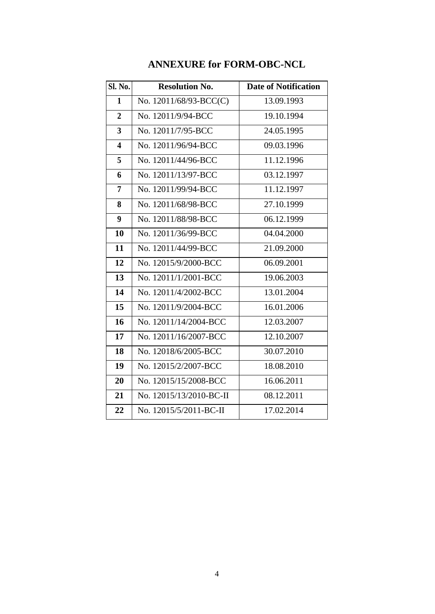| <b>Sl. No.</b>          | <b>Resolution No.</b>   | <b>Date of Notification</b> |
|-------------------------|-------------------------|-----------------------------|
| $\mathbf{1}$            | No. 12011/68/93-BCC(C)  | 13.09.1993                  |
| $\overline{2}$          | No. 12011/9/94-BCC      | 19.10.1994                  |
| 3                       | No. 12011/7/95-BCC      | 24.05.1995                  |
| $\overline{\mathbf{4}}$ | No. 12011/96/94-BCC     | 09.03.1996                  |
| 5                       | No. 12011/44/96-BCC     | 11.12.1996                  |
| 6                       | No. 12011/13/97-BCC     | 03.12.1997                  |
| 7                       | No. 12011/99/94-BCC     | 11.12.1997                  |
| 8                       | No. 12011/68/98-BCC     | 27.10.1999                  |
| 9                       | No. 12011/88/98-BCC     | 06.12.1999                  |
| 10                      | No. 12011/36/99-BCC     | 04.04.2000                  |
| 11                      | No. 12011/44/99-BCC     | 21.09.2000                  |
| 12                      | No. 12015/9/2000-BCC    | 06.09.2001                  |
| 13                      | No. 12011/1/2001-BCC    | 19.06.2003                  |
| 14                      | No. 12011/4/2002-BCC    | 13.01.2004                  |
| 15                      | No. 12011/9/2004-BCC    | 16.01.2006                  |
| 16                      | No. 12011/14/2004-BCC   | 12.03.2007                  |
| 17                      | No. 12011/16/2007-BCC   | 12.10.2007                  |
| 18                      | No. 12018/6/2005-BCC    | 30.07.2010                  |
| 19                      | No. 12015/2/2007-BCC    | 18.08.2010                  |
| 20                      | No. 12015/15/2008-BCC   | 16.06.2011                  |
| 21                      | No. 12015/13/2010-BC-II | 08.12.2011                  |
| 22                      | No. 12015/5/2011-BC-II  | 17.02.2014                  |

# **ANNEXURE for FORM-OBC-NCL**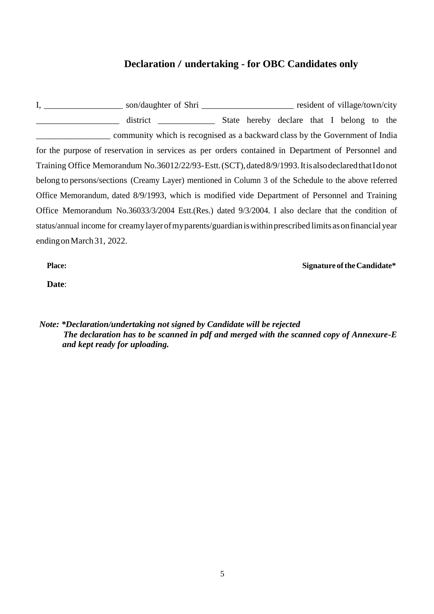### **Declaration / undertaking - for OBC Candidates only**

I, \_\_\_\_\_\_\_\_\_\_\_\_\_\_\_\_\_\_\_\_\_\_ son/daughter of Shri \_\_\_\_\_\_\_\_\_\_\_\_\_\_\_\_\_\_\_\_\_\_\_\_\_\_\_\_\_\_\_ resident of village/town/city \_\_\_\_\_\_\_\_\_\_\_\_\_\_\_\_\_\_\_ district \_\_\_\_\_\_\_\_\_\_\_\_\_ State hereby declare that I belong to the community which is recognised as a backward class by the Government of India for the purpose of reservation in services as per orders contained in Department of Personnel and Training Office Memorandum No.36012/22/93-Estt.(SCT),dated8/9/1993.ItisalsodeclaredthatIdonot belong to persons/sections (Creamy Layer) mentioned in Column 3 of the Schedule to the above referred Office Memorandum, dated 8/9/1993, which is modified vide Department of Personnel and Training Office Memorandum No.36033/3/2004 Estt.(Res.) dated 9/3/2004. I also declare that the condition of status/annual income for creamylayerofmyparents/guardianiswithinprescribed limits asonfinancial year endingonMarch31, 2022.

**Place: Signature oftheCandidate\***

**Date**:

*Note: \*Declaration/undertaking not signed by Candidate will be rejected The declaration has to be scanned in pdf and merged with the scanned copy of Annexure-E and kept ready for uploading.*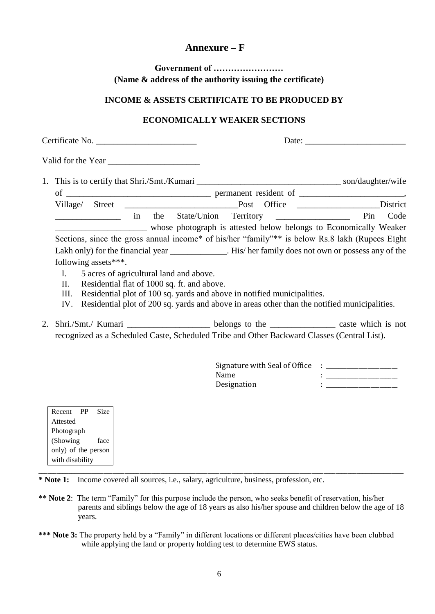### **Annexure – F**

**Government of …………………… (Name & address of the authority issuing the certificate)**

#### **INCOME & ASSETS CERTIFICATE TO BE PRODUCED BY**

#### **ECONOMICALLY WEAKER SECTIONS**

| Certificate No. |                          |                                         |                                             |                                                                                             |                                                                                                    |  |  |
|-----------------|--------------------------|-----------------------------------------|---------------------------------------------|---------------------------------------------------------------------------------------------|----------------------------------------------------------------------------------------------------|--|--|
|                 | Valid for the Year       |                                         |                                             |                                                                                             |                                                                                                    |  |  |
|                 |                          |                                         |                                             |                                                                                             |                                                                                                    |  |  |
|                 |                          |                                         |                                             |                                                                                             |                                                                                                    |  |  |
|                 | Village/ Street          |                                         |                                             |                                                                                             |                                                                                                    |  |  |
|                 |                          |                                         |                                             |                                                                                             | Code                                                                                               |  |  |
|                 |                          |                                         |                                             |                                                                                             | whose photograph is attested below belongs to Economically Weaker                                  |  |  |
|                 |                          |                                         |                                             |                                                                                             | Sections, since the gross annual income* of his/her "family"** is below Rs.8 lakh (Rupees Eight    |  |  |
|                 |                          |                                         |                                             |                                                                                             | Lakh only) for the financial year _____________. His/her family does not own or possess any of the |  |  |
|                 | following assets***.     |                                         |                                             |                                                                                             |                                                                                                    |  |  |
|                 | I.                       | 5 acres of agricultural land and above. |                                             |                                                                                             |                                                                                                    |  |  |
|                 | II.                      |                                         | Residential flat of 1000 sq. ft. and above. |                                                                                             |                                                                                                    |  |  |
|                 | III.                     |                                         |                                             | Residential plot of 100 sq. yards and above in notified municipalities.                     |                                                                                                    |  |  |
|                 | IV.                      |                                         |                                             |                                                                                             | Residential plot of 200 sq. yards and above in areas other than the notified municipalities.       |  |  |
| 2.              |                          |                                         |                                             |                                                                                             |                                                                                                    |  |  |
|                 |                          |                                         |                                             | recognized as a Scheduled Caste, Scheduled Tribe and Other Backward Classes (Central List). |                                                                                                    |  |  |
|                 |                          |                                         |                                             |                                                                                             |                                                                                                    |  |  |
|                 |                          |                                         |                                             |                                                                                             |                                                                                                    |  |  |
|                 |                          |                                         |                                             | Name                                                                                        |                                                                                                    |  |  |
|                 |                          |                                         |                                             | Designation                                                                                 | <b>Program and Contract Contract Contract</b>                                                      |  |  |
|                 |                          |                                         |                                             |                                                                                             |                                                                                                    |  |  |
|                 | Recent PP<br><b>Size</b> |                                         |                                             |                                                                                             |                                                                                                    |  |  |
|                 | Attested                 |                                         |                                             |                                                                                             |                                                                                                    |  |  |
|                 | Photograph               |                                         |                                             |                                                                                             |                                                                                                    |  |  |
|                 | (Showing<br>face         |                                         |                                             |                                                                                             |                                                                                                    |  |  |
|                 | only) of the person      |                                         |                                             |                                                                                             |                                                                                                    |  |  |
|                 | with disability          |                                         |                                             |                                                                                             |                                                                                                    |  |  |

**\* Note 1:** Income covered all sources, i.e., salary, agriculture, business, profession, etc.

**\*\* Note 2**: The term "Family" for this purpose include the person, who seeks benefit of reservation, his/her parents and siblings below the age of 18 years as also his/her spouse and children below the age of 18 years.

\_\_\_\_\_\_\_\_\_\_\_\_\_\_\_\_\_\_\_\_\_\_\_\_\_\_\_\_\_\_\_\_\_\_\_\_\_\_\_\_\_\_\_\_\_\_\_\_\_\_\_\_\_\_\_\_\_\_\_\_\_\_\_\_\_\_\_\_\_\_\_\_\_\_\_\_\_\_\_\_\_\_\_\_\_\_\_\_\_\_\_\_\_\_\_\_\_\_\_\_\_\_\_\_\_\_\_\_\_\_\_\_\_\_\_\_\_\_\_\_\_\_\_

**\*\*\* Note 3:** The property held by a "Family" in different locations or different places/cities have been clubbed while applying the land or property holding test to determine EWS status.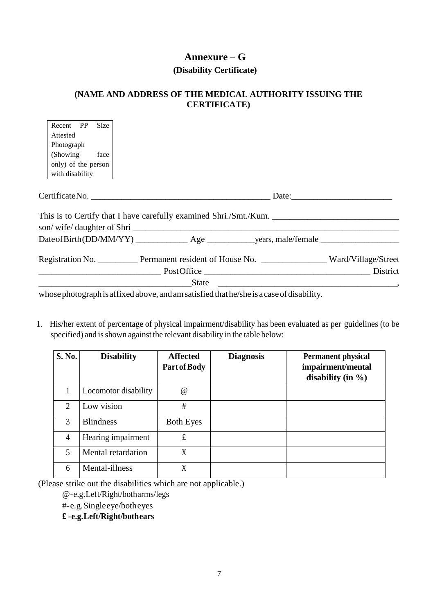# **Annexure – G (Disability Certificate)**

# **(NAME AND ADDRESS OF THE MEDICAL AUTHORITY ISSUING THE CERTIFICATE)**

| Recent PP Size      |                                                                                                       |  |
|---------------------|-------------------------------------------------------------------------------------------------------|--|
| Attested            |                                                                                                       |  |
| Photograph          |                                                                                                       |  |
| (Showing face)      |                                                                                                       |  |
| only) of the person |                                                                                                       |  |
| with disability     |                                                                                                       |  |
|                     |                                                                                                       |  |
|                     |                                                                                                       |  |
|                     |                                                                                                       |  |
|                     | This is to Certify that I have carefully examined Shri./Smt./Kum.                                     |  |
|                     | son/wife/daughter of Shri                                                                             |  |
|                     |                                                                                                       |  |
|                     | Registration No. ____________ Permanent resident of House No. ___________________ Ward/Village/Street |  |
|                     |                                                                                                       |  |
|                     |                                                                                                       |  |
|                     | whose photograph is affixed above, and am satisfied that he/she is a case of disability.              |  |

1. His/her extent of percentage of physical impairment/disability has been evaluated as per guidelines (to be specified) and is shown against the relevant disability in the table below:

| S. No.                      | <b>Disability</b>    | <b>Affected</b><br>Part of Body | <b>Diagnosis</b> | <b>Permanent physical</b><br>impairment/mental<br>disability (in $\%$ ) |
|-----------------------------|----------------------|---------------------------------|------------------|-------------------------------------------------------------------------|
|                             | Locomotor disability | $^{\textregistered}$            |                  |                                                                         |
| $\mathcal{D}_{\mathcal{L}}$ | Low vision           | #                               |                  |                                                                         |
| 3                           | <b>Blindness</b>     | <b>Both Eyes</b>                |                  |                                                                         |
| $\overline{4}$              | Hearing impairment   | £                               |                  |                                                                         |
| 5                           | Mental retardation   | X                               |                  |                                                                         |
| 6                           | Mental-illness       | X                               |                  |                                                                         |

(Please strike out the disabilities which are not applicable.)

@-e.g.Left/Right/botharms/legs

#-e.g.Singleeye/botheyes

÷.

**£ -e.g.Left/Right/bothears**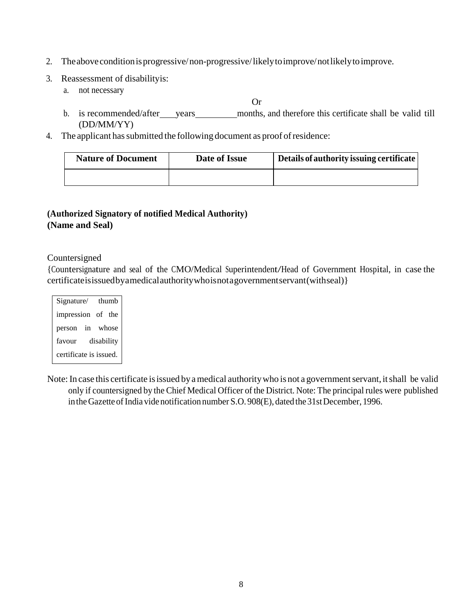- 2. Theaboveconditionisprogressive/non-progressive/likelytoimprove/notlikelytoimprove.
- 3. Reassessment of disabilityis:
	- a. not necessary

Or

- b. is recommended/after years months, and therefore this certificate shall be valid till (DD/MM/YY)
- 4. The applicant has submitted the following document as proof of residence:

| <b>Nature of Document</b> | Date of Issue | Details of authority issuing certificate |
|---------------------------|---------------|------------------------------------------|
|                           |               |                                          |

### **(Authorized Signatory of notified Medical Authority) (Name and Seal)**

#### Countersigned

{Countersignature and seal of the CMO/Medical Superintendent/Head of Government Hospital, in case the certificateisissuedbyamedicalauthoritywhoisnotagovernmentservant(withseal)}

| Signature/             | thumh      |  |
|------------------------|------------|--|
| impression of the      |            |  |
| person in whose        |            |  |
| favour                 | disability |  |
| certificate is issued. |            |  |

Note: In case this certificate is issued by a medical authority who is not a government servant, it shall be valid only if countersigned by the Chief Medical Officer of the District. Note: The principal rules were published in the Gazette of India vide notification number S.O. 908(E), dated the 31st December, 1996.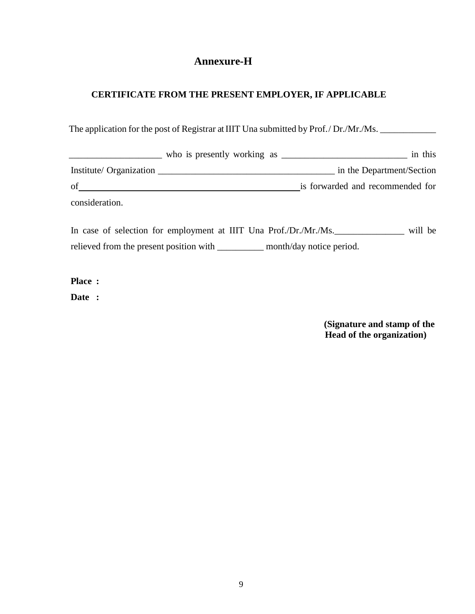# **Annexure-H**

### **CERTIFICATE FROM THE PRESENT EMPLOYER, IF APPLICABLE**

The application for the post of Registrar at IIIT Una submitted by Prof./Dr./Mr./Ms.

|                         | who is presently working as | in this                          |
|-------------------------|-----------------------------|----------------------------------|
| Institute/ Organization |                             | in the Department/Section        |
| of                      |                             | is forwarded and recommended for |
| consideration.          |                             |                                  |

In case of selection for employment at IIIT Una Prof./Dr./Mr./Ms.\_\_\_\_\_\_\_\_\_\_\_\_\_\_\_ will be relieved from the present position with \_\_\_\_\_\_\_\_\_\_ month/day notice period.

**Place :**

**Date :**

**(Signature and stamp of the Head of the organization)**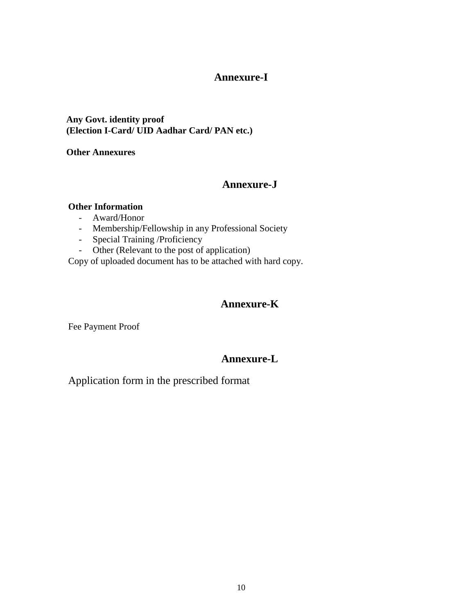### **Annexure-I**

#### **Any Govt. identity proof (Election I-Card/ UID Aadhar Card/ PAN etc.)**

#### **Other Annexures**

### **Annexure-J**

#### **Other Information**

- Award/Honor
- Membership/Fellowship in any Professional Society
- Special Training /Proficiency
- Other (Relevant to the post of application)

Copy of uploaded document has to be attached with hard copy.

### **Annexure-K**

Fee Payment Proof

### **Annexure-L**

Application form in the prescribed format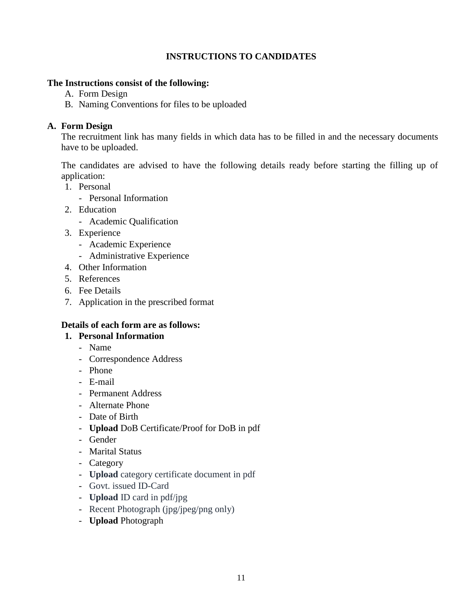### **INSTRUCTIONS TO CANDIDATES**

#### **The Instructions consist of the following:**

- A. Form Design
- B. Naming Conventions for files to be uploaded

### **A. Form Design**

The recruitment link has many fields in which data has to be filled in and the necessary documents have to be uploaded.

The candidates are advised to have the following details ready before starting the filling up of application:

- 1. Personal
	- Personal Information
- 2. Education
	- Academic Qualification
- 3. Experience
	- Academic Experience
	- Administrative Experience
- 4. Other Information
- 5. References
- 6. Fee Details
- 7. Application in the prescribed format

### **Details of each form are as follows:**

### **1. Personal Information**

- Name
- Correspondence Address
- Phone
- E-mail
- Permanent Address
- Alternate Phone
- Date of Birth
- **Upload** DoB Certificate/Proof for DoB in pdf
- Gender
- Marital Status
- Category
- **Upload** category certificate document in pdf
- Govt. issued ID-Card
- **Upload** ID card in pdf/jpg
- Recent Photograph (jpg/jpeg/png only)
- **Upload** Photograph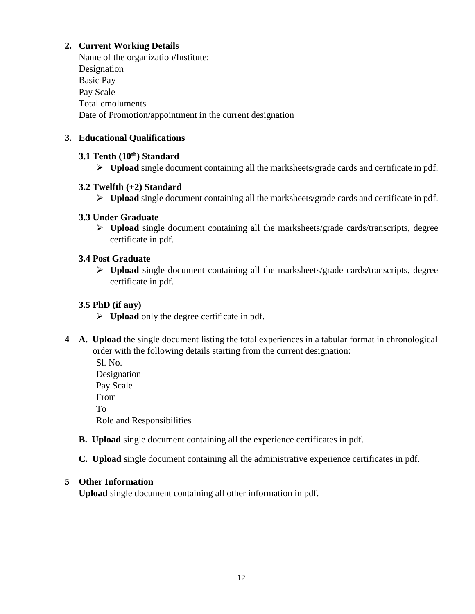### **2. Current Working Details**

Name of the organization/Institute: Designation Basic Pay Pay Scale Total emoluments Date of Promotion/appointment in the current designation

### **3. Educational Qualifications**

### **3.1 Tenth (10th) Standard**

➢ **Upload** single document containing all the marksheets/grade cards and certificate in pdf.

### **3.2 Twelfth (+2) Standard**

➢ **Upload** single document containing all the marksheets/grade cards and certificate in pdf.

### **3.3 Under Graduate**

➢ **Upload** single document containing all the marksheets/grade cards/transcripts, degree certificate in pdf.

### **3.4 Post Graduate**

➢ **Upload** single document containing all the marksheets/grade cards/transcripts, degree certificate in pdf.

### **3.5 PhD (if any)**

- ➢ **Upload** only the degree certificate in pdf.
- **4 A. Upload** the single document listing the total experiences in a tabular format in chronological order with the following details starting from the current designation:
	- Sl. No. Designation Pay Scale From To Role and Responsibilities
	- **B. Upload** single document containing all the experience certificates in pdf.
	- **C. Upload** single document containing all the administrative experience certificates in pdf.

### **5 Other Information**

**Upload** single document containing all other information in pdf.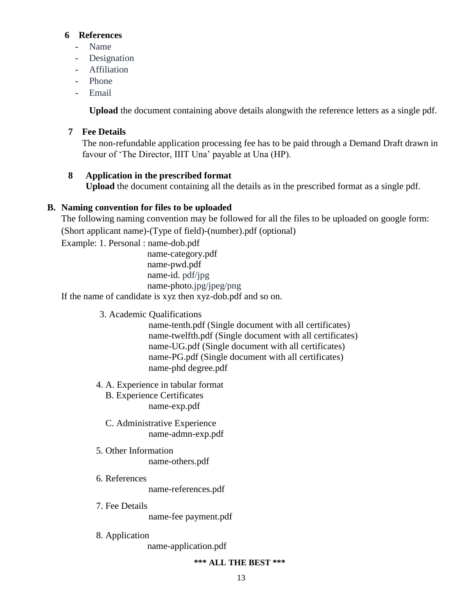#### **6 References**

- Name
- Designation
- Affiliation
- Phone
- Email

**Upload** the document containing above details alongwith the reference letters as a single pdf.

#### **7 Fee Details**

The non-refundable application processing fee has to be paid through a Demand Draft drawn in favour of 'The Director, IIIT Una' payable at Una (HP).

#### **8 Application in the prescribed format**

**Upload** the document containing all the details as in the prescribed format as a single pdf.

#### **B. Naming convention for files to be uploaded**

The following naming convention may be followed for all the files to be uploaded on google form: (Short applicant name)-(Type of field)-(number).pdf (optional)

Example: 1. Personal : name-dob.pdf

 name-category.pdf name-pwd.pdf name-id. pdf/jpg name-photo.jpg/jpeg/png

If the name of candidate is xyz then xyz-dob.pdf and so on.

3. Academic Qualifications

name-tenth.pdf (Single document with all certificates) name-twelfth.pdf (Single document with all certificates) name-UG.pdf (Single document with all certificates) name-PG.pdf (Single document with all certificates) name-phd degree.pdf

4. A. Experience in tabular format B. Experience Certificates

name-exp.pdf

- C. Administrative Experience name-admn-exp.pdf
- 5. Other Information name-others.pdf
- 6. References name-references.pdf
- 7. Fee Details

name-fee payment.pdf

8. Application

name-application.pdf

#### **\*\*\* ALL THE BEST \*\*\***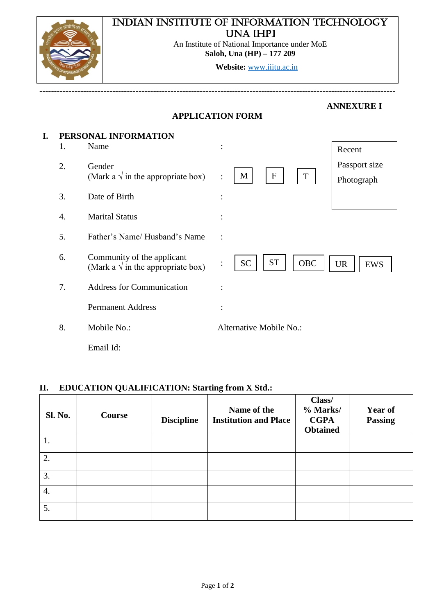# Indian Institute of Information Technology UNA **IHP**I



An Institute of National Importance under MoE **Saloh, Una (HP) – 177 209**

**Website:** [www.iiitu.ac.in](http://www.iiitu.ac.in/)

|    |    |                                                                          | <b>APPLICATION FORM</b>                 | <b>ANNEXURE I</b>           |
|----|----|--------------------------------------------------------------------------|-----------------------------------------|-----------------------------|
| I. | 1. | PERSONAL INFORMATION<br>Name                                             | $\ddot{\cdot}$                          | Recent                      |
|    | 2. | Gender<br>(Mark a $\sqrt{ }$ in the appropriate box)                     | $\mathbf F$<br>M<br>T<br>$\ddot{\cdot}$ | Passport size<br>Photograph |
|    | 3. | Date of Birth                                                            | $\ddot{\cdot}$                          |                             |
|    | 4. | <b>Marital Status</b>                                                    |                                         |                             |
|    | 5. | Father's Name/Husband's Name                                             | $\ddot{\cdot}$                          |                             |
|    | 6. | Community of the applicant<br>(Mark a $\sqrt{ }$ in the appropriate box) | <b>ST</b><br><b>SC</b><br><b>OBC</b>    | <b>UR</b><br><b>EWS</b>     |
|    | 7. | <b>Address for Communication</b>                                         |                                         |                             |
|    |    | <b>Permanent Address</b>                                                 | $\bullet$                               |                             |
|    | 8. | Mobile No.:                                                              | Alternative Mobile No.:                 |                             |
|    |    | Email Id:                                                                |                                         |                             |

--------------------------------------------------------------------------------------------------------------------------

### **II. EDUCATION QUALIFICATION: Starting from X Std.:**

| <b>Sl. No.</b> | <b>Course</b> | <b>Discipline</b> | Name of the<br><b>Institution and Place</b> | Class/<br>% Marks/<br><b>CGPA</b><br><b>Obtained</b> | <b>Year of</b><br><b>Passing</b> |
|----------------|---------------|-------------------|---------------------------------------------|------------------------------------------------------|----------------------------------|
| 1.             |               |                   |                                             |                                                      |                                  |
| 2.             |               |                   |                                             |                                                      |                                  |
| 3.             |               |                   |                                             |                                                      |                                  |
| 4.             |               |                   |                                             |                                                      |                                  |
| 5.             |               |                   |                                             |                                                      |                                  |